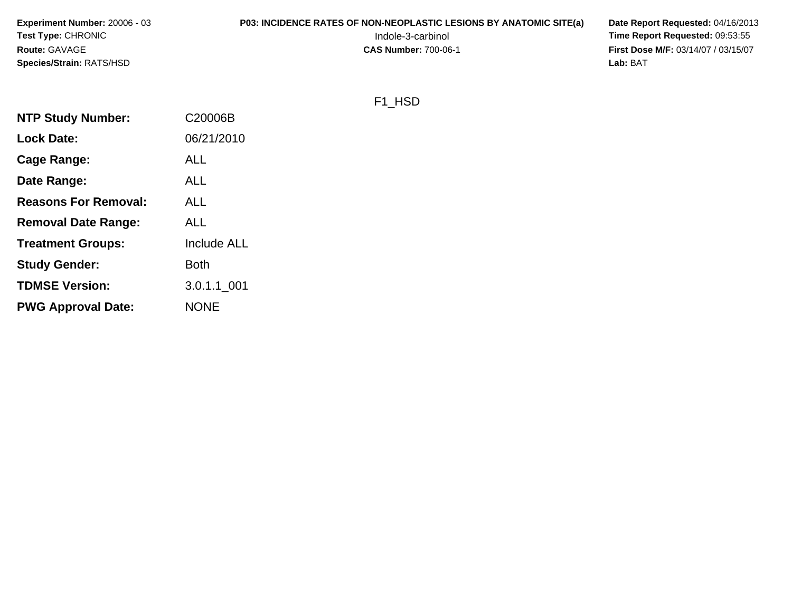**Experiment Number:** 20006 - 03**Test Type:** CHRONIC**Route:** GAVAGE**Species/Strain:** RATS/HSD

# **P03: INCIDENCE RATES OF NON-NEOPLASTIC LESIONS BY ANATOMIC SITE(a) Date Report Requested: 04/16/2013<br>153:55 Time Report Requested: 09:53:55**

 Indole-3-carbinol **Time Report Requested:** 09:53:55 **First Dose M/F:** 03/14/07 / 03/15/07<br>Lab: BAT **Lab:** BAT

## F1\_HSD

| <b>NTP Study Number:</b>    | C20006B            |
|-----------------------------|--------------------|
| <b>Lock Date:</b>           | 06/21/2010         |
| <b>Cage Range:</b>          | <b>ALL</b>         |
| Date Range:                 | <b>ALL</b>         |
| <b>Reasons For Removal:</b> | <b>ALL</b>         |
| <b>Removal Date Range:</b>  | <b>ALL</b>         |
| <b>Treatment Groups:</b>    | <b>Include ALL</b> |
| <b>Study Gender:</b>        | Both               |
| <b>TDMSE Version:</b>       | $3.0.1.1\_001$     |
| <b>PWG Approval Date:</b>   | <b>NONE</b>        |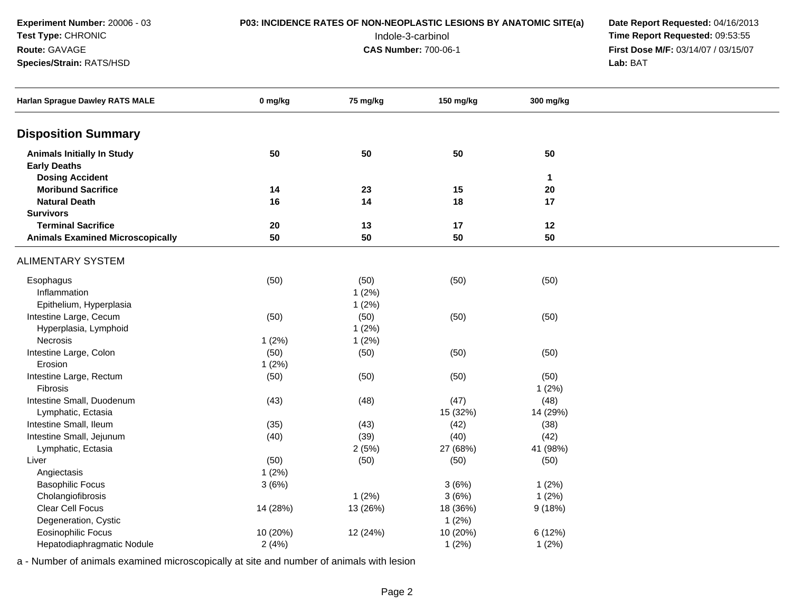**Species/Strain:** RATS/HSD

**Route:** GAVAGE

**P03: INCIDENCE RATES OF NON-NEOPLASTIC LESIONS BY ANATOMIC SITE(a) Date Report Requested: 04/16/2013<br>153:55 Time Report Requested: 09:53:55**  Indole-3-carbinol **Time Report Requested:** 09:53:55 **First Dose M/F:** 03/14/07 / 03/15/07<br>Lab: BAT **Lab:** BAT

| Harlan Sprague Dawley RATS MALE         | 0 mg/kg  | 75 mg/kg | 150 mg/kg | 300 mg/kg    |  |
|-----------------------------------------|----------|----------|-----------|--------------|--|
| <b>Disposition Summary</b>              |          |          |           |              |  |
| <b>Animals Initially In Study</b>       | 50       | 50       | 50        | 50           |  |
| <b>Early Deaths</b>                     |          |          |           |              |  |
| <b>Dosing Accident</b>                  |          |          |           | $\mathbf{1}$ |  |
| <b>Moribund Sacrifice</b>               | 14       | 23       | 15        | 20           |  |
| <b>Natural Death</b>                    | 16       | 14       | 18        | 17           |  |
| <b>Survivors</b>                        |          |          |           |              |  |
| <b>Terminal Sacrifice</b>               | 20       | 13       | 17        | 12           |  |
| <b>Animals Examined Microscopically</b> | 50       | 50       | 50        | 50           |  |
| <b>ALIMENTARY SYSTEM</b>                |          |          |           |              |  |
| Esophagus                               | (50)     | (50)     | (50)      | (50)         |  |
| Inflammation                            |          | 1(2%)    |           |              |  |
| Epithelium, Hyperplasia                 |          | 1(2%)    |           |              |  |
| Intestine Large, Cecum                  | (50)     | (50)     | (50)      | (50)         |  |
| Hyperplasia, Lymphoid                   |          | 1(2%)    |           |              |  |
| Necrosis                                | 1(2%)    | 1(2%)    |           |              |  |
| Intestine Large, Colon                  | (50)     | (50)     | (50)      | (50)         |  |
| Erosion                                 | 1(2%)    |          |           |              |  |
| Intestine Large, Rectum                 | (50)     | (50)     | (50)      | (50)         |  |
| Fibrosis                                |          |          |           | 1(2%)        |  |
| Intestine Small, Duodenum               | (43)     | (48)     | (47)      | (48)         |  |
| Lymphatic, Ectasia                      |          |          | 15 (32%)  | 14 (29%)     |  |
| Intestine Small, Ileum                  | (35)     | (43)     | (42)      | (38)         |  |
| Intestine Small, Jejunum                | (40)     | (39)     | (40)      | (42)         |  |
| Lymphatic, Ectasia                      |          | 2(5%)    | 27 (68%)  | 41 (98%)     |  |
| Liver                                   | (50)     | (50)     | (50)      | (50)         |  |
| Angiectasis                             | 1(2%)    |          |           |              |  |
| <b>Basophilic Focus</b>                 | 3(6%)    |          | 3(6%)     | 1(2%)        |  |
| Cholangiofibrosis                       |          | 1(2%)    | 3(6%)     | 1(2%)        |  |
| Clear Cell Focus                        | 14 (28%) | 13 (26%) | 18 (36%)  | 9(18%)       |  |
| Degeneration, Cystic                    |          |          | 1(2%)     |              |  |
| <b>Eosinophilic Focus</b>               | 10 (20%) | 12 (24%) | 10 (20%)  | 6(12%)       |  |
| Hepatodiaphragmatic Nodule              | 2(4%)    |          | 1(2%)     | 1(2%)        |  |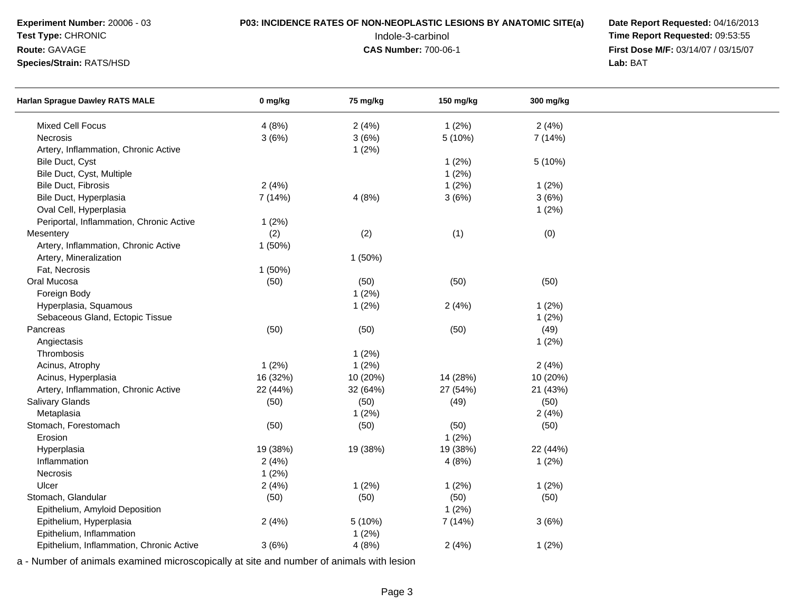| Experiment Number: 20006 - 03<br>Test Type: CHRONIC<br>Route: GAVAGE<br>Species/Strain: RATS/HSD | P03: INCIDENCE RATES OF NON-NEOPLASTIC LESIONS BY ANATOMIC SITE(a) | Date Report Requested: 04/16/2013<br>Time Report Requested: 09:53:55<br>First Dose M/F: 03/14/07 / 03/15/07<br>Lab: BAT |           |           |  |
|--------------------------------------------------------------------------------------------------|--------------------------------------------------------------------|-------------------------------------------------------------------------------------------------------------------------|-----------|-----------|--|
| <b>Harlan Sprague Dawley RATS MALE</b>                                                           | 0 mg/kg                                                            | 75 mg/kg                                                                                                                | 150 mg/kg | 300 mg/kg |  |
| Mixed Cell Focus                                                                                 | 4(8%)                                                              | 2(4%)                                                                                                                   | 1(2%)     | 2(4%)     |  |
| <b>Necrosis</b>                                                                                  | 3(6%)                                                              | 3(6%)                                                                                                                   | 5 (10%)   | 7 (14%)   |  |
| Artery, Inflammation, Chronic Active                                                             |                                                                    | 1(2%)                                                                                                                   |           |           |  |
| Bile Duct, Cyst                                                                                  |                                                                    |                                                                                                                         | 1(2%)     | 5 (10%)   |  |
| Bile Duct, Cyst, Multiple                                                                        |                                                                    |                                                                                                                         | 1(2%)     |           |  |
| Bile Duct, Fibrosis                                                                              | 2(4%)                                                              |                                                                                                                         | 1(2%)     | 1(2%)     |  |
| Bile Duct, Hyperplasia                                                                           | 7 (14%)                                                            | 4(8%)                                                                                                                   | 3(6%)     | 3(6%)     |  |
| Oval Cell, Hyperplasia                                                                           |                                                                    |                                                                                                                         |           | 1(2%)     |  |
| Periportal, Inflammation, Chronic Active                                                         | 1(2%)                                                              |                                                                                                                         |           |           |  |
| Mesentery                                                                                        | (2)                                                                | (2)                                                                                                                     | (1)       | (0)       |  |
| Artery, Inflammation, Chronic Active                                                             | 1(50%)                                                             |                                                                                                                         |           |           |  |
| Artery, Mineralization                                                                           |                                                                    | 1(50%)                                                                                                                  |           |           |  |
| Fat, Necrosis                                                                                    | 1(50%)                                                             |                                                                                                                         |           |           |  |
| Oral Mucosa                                                                                      | (50)                                                               | (50)                                                                                                                    | (50)      | (50)      |  |
| Foreign Body                                                                                     |                                                                    | 1(2%)                                                                                                                   |           |           |  |
| Hyperplasia, Squamous                                                                            |                                                                    | 1(2%)                                                                                                                   | 2(4%)     | 1(2%)     |  |
| Sebaceous Gland, Ectopic Tissue                                                                  |                                                                    |                                                                                                                         |           | 1(2%)     |  |
| Pancreas                                                                                         | (50)                                                               | (50)                                                                                                                    | (50)      | (49)      |  |
| Angiectasis                                                                                      |                                                                    |                                                                                                                         |           | 1(2%)     |  |
| Thrombosis                                                                                       |                                                                    | 1(2%)                                                                                                                   |           |           |  |
| Acinus, Atrophy                                                                                  | 1(2%)                                                              | 1(2%)                                                                                                                   |           | 2(4%)     |  |
| Acinus, Hyperplasia                                                                              | 16 (32%)                                                           | 10 (20%)                                                                                                                | 14 (28%)  | 10 (20%)  |  |
| Artery, Inflammation, Chronic Active                                                             | 22 (44%)                                                           | 32 (64%)                                                                                                                | 27 (54%)  | 21 (43%)  |  |
| Salivary Glands                                                                                  | (50)                                                               | (50)                                                                                                                    | (49)      | (50)      |  |
| Metaplasia                                                                                       |                                                                    | 1(2%)                                                                                                                   |           | 2(4%)     |  |
| Stomach, Forestomach                                                                             | (50)                                                               | (50)                                                                                                                    | (50)      | (50)      |  |
| Erosion                                                                                          |                                                                    |                                                                                                                         | 1(2%)     |           |  |
| Hyperplasia                                                                                      | 19 (38%)                                                           | 19 (38%)                                                                                                                | 19 (38%)  | 22 (44%)  |  |
| Inflammation                                                                                     | 2(4%)                                                              |                                                                                                                         | 4(8%)     | 1(2%)     |  |
| Necrosis                                                                                         | 1(2%)                                                              |                                                                                                                         |           |           |  |
| Ulcer                                                                                            | 2(4%)                                                              | 1(2%)                                                                                                                   | 1(2%)     | 1(2%)     |  |
| Stomach, Glandular                                                                               | (50)                                                               | (50)                                                                                                                    | (50)      | (50)      |  |
| Epithelium, Amyloid Deposition                                                                   |                                                                    |                                                                                                                         | 1(2%)     |           |  |
| Epithelium, Hyperplasia                                                                          | 2(4%)                                                              | 5 (10%)                                                                                                                 | 7 (14%)   | 3(6%)     |  |
| Epithelium, Inflammation                                                                         |                                                                    | 1(2%)                                                                                                                   |           |           |  |
| Epithelium, Inflammation, Chronic Active                                                         | 3(6%)                                                              | 4(8%)                                                                                                                   | 2(4%)     | 1(2%)     |  |
|                                                                                                  |                                                                    |                                                                                                                         |           |           |  |

a - Number of animals examined microscopically at site and number of animals with lesion

e 3 (6%) 4 (8%) 2 (4%) 1 (2%)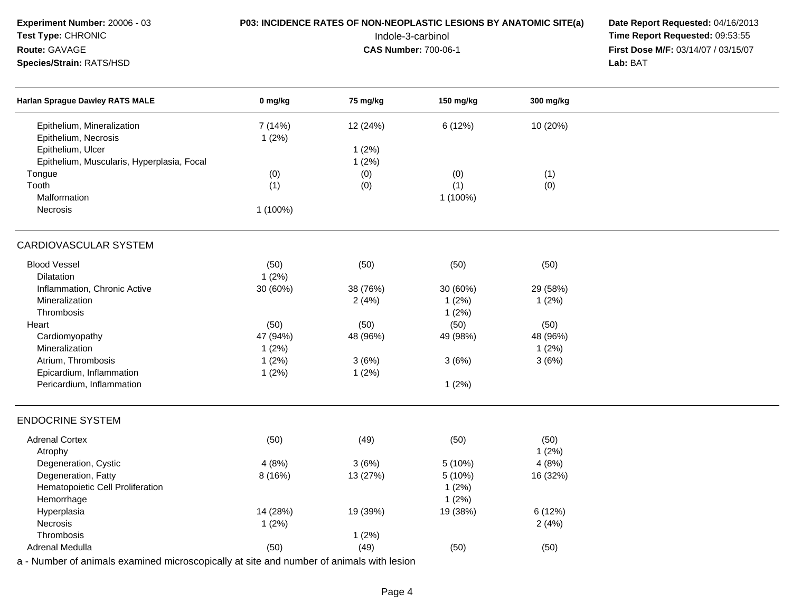| Test Type: CHRONIC                         |          | Indole-3-carbinol           | Time Report Requested: 09:53:55     |           |  |
|--------------------------------------------|----------|-----------------------------|-------------------------------------|-----------|--|
| Route: GAVAGE                              |          | <b>CAS Number: 700-06-1</b> | First Dose M/F: 03/14/07 / 03/15/07 |           |  |
| Species/Strain: RATS/HSD                   |          |                             | Lab: BAT                            |           |  |
| <b>Harlan Sprague Dawley RATS MALE</b>     | 0 mg/kg  | 75 mg/kg                    | 150 mg/kg                           | 300 mg/kg |  |
| Epithelium, Mineralization                 | 7 (14%)  | 12 (24%)                    | 6 (12%)                             | 10 (20%)  |  |
| Epithelium, Necrosis                       | 1(2%)    |                             |                                     |           |  |
| Epithelium, Ulcer                          |          | 1(2%)                       |                                     |           |  |
| Epithelium, Muscularis, Hyperplasia, Focal |          | 1(2%)                       |                                     |           |  |
| Tongue                                     | (0)      | (0)                         | (0)                                 | (1)       |  |
| Tooth                                      | (1)      | (0)                         | (1)                                 | (0)       |  |
| Malformation                               |          |                             | 1 (100%)                            |           |  |
| Necrosis                                   | 1 (100%) |                             |                                     |           |  |
| CARDIOVASCULAR SYSTEM                      |          |                             |                                     |           |  |
| <b>Blood Vessel</b>                        | (50)     | (50)                        | (50)                                | (50)      |  |
| Dilatation                                 | 1(2%)    |                             |                                     |           |  |
| Inflammation, Chronic Active               | 30 (60%) | 38 (76%)                    | 30 (60%)                            | 29 (58%)  |  |
| Mineralization                             |          | 2(4%)                       | 1(2%)                               | 1(2%)     |  |
| Thrombosis                                 |          |                             | 1(2%)                               |           |  |
| Heart                                      | (50)     | (50)                        | (50)                                | (50)      |  |
| Cardiomyopathy                             | 47 (94%) | 48 (96%)                    | 49 (98%)                            | 48 (96%)  |  |
| Mineralization                             | 1(2%)    |                             |                                     | 1(2%)     |  |
| Atrium, Thrombosis                         | 1(2%)    | 3(6%)                       | 3(6%)                               | 3(6%)     |  |
| Epicardium, Inflammation                   | 1(2%)    | 1(2%)                       |                                     |           |  |
| Pericardium, Inflammation                  |          |                             | 1(2%)                               |           |  |
| <b>ENDOCRINE SYSTEM</b>                    |          |                             |                                     |           |  |
| <b>Adrenal Cortex</b>                      | (50)     | (49)                        | (50)                                | (50)      |  |
| Atrophy                                    |          |                             |                                     | 1(2%)     |  |
| Degeneration, Cystic                       | 4(8%)    | 3(6%)                       | 5 (10%)                             | 4(8%)     |  |
| Degeneration, Fatty                        | 8 (16%)  | 13 (27%)                    | 5 (10%)                             | 16 (32%)  |  |
| Hematopoietic Cell Proliferation           |          |                             | 1(2%)                               |           |  |
| Hemorrhage                                 |          |                             | 1(2%)                               |           |  |
| Hyperplasia                                | 14 (28%) | 19 (39%)                    | 19 (38%)                            | 6 (12%)   |  |
| Necrosis                                   | 1(2%)    |                             |                                     | 2(4%)     |  |
| Thrombosis                                 |          | 1(2%)                       |                                     |           |  |
| Adrenal Medulla                            | (50)     | (49)                        | (50)                                | (50)      |  |

**P03: INCIDENCE RATES OF NON-NEOPLASTIC LESIONS BY ANATOMIC SITE(a) Date Report Requested:** 04/16/2013

a - Number of animals examined microscopically at site and number of animals with lesion

**Experiment Number:** 20006 - 03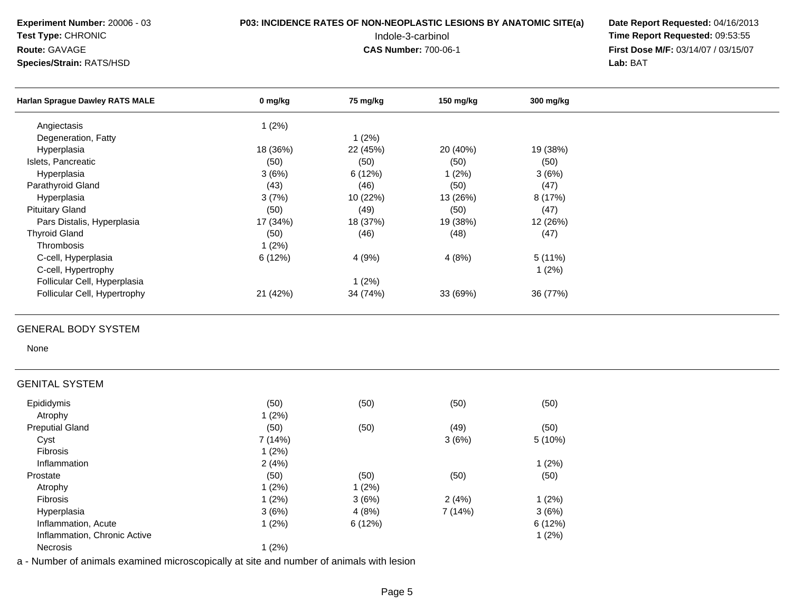### **Test Type:** CHRONIC

**Species/Strain:** RATS/HSD

**Route:** GAVAGE

**P03: INCIDENCE RATES OF NON-NEOPLASTIC LESIONS BY ANATOMIC SITE(a) Date Report Requested: 04/16/2013<br>153:55 Time Report Requested: 09:53:55**  Indole-3-carbinol **Time Report Requested:** 09:53:55 **First Dose M/F:** 03/14/07 / 03/15/07<br>Lab: BAT **Lab:** BAT

| <b>Harlan Sprague Dawley RATS MALE</b> | 0 mg/kg  | 75 mg/kg | 150 mg/kg | 300 mg/kg |
|----------------------------------------|----------|----------|-----------|-----------|
| Angiectasis                            | 1(2%)    |          |           |           |
| Degeneration, Fatty                    |          | 1(2%)    |           |           |
| Hyperplasia                            | 18 (36%) | 22 (45%) | 20 (40%)  | 19 (38%)  |
| Islets, Pancreatic                     | (50)     | (50)     | (50)      | (50)      |
| Hyperplasia                            | 3(6%)    | 6 (12%)  | 1(2%)     | 3(6%)     |
| Parathyroid Gland                      | (43)     | (46)     | (50)      | (47)      |
| Hyperplasia                            | 3(7%)    | 10 (22%) | 13 (26%)  | 8 (17%)   |
| <b>Pituitary Gland</b>                 | (50)     | (49)     | (50)      | (47)      |
| Pars Distalis, Hyperplasia             | 17 (34%) | 18 (37%) | 19 (38%)  | 12 (26%)  |
| <b>Thyroid Gland</b>                   | (50)     | (46)     | (48)      | (47)      |
| <b>Thrombosis</b>                      | 1(2%)    |          |           |           |
| C-cell, Hyperplasia                    | 6(12%)   | 4(9%)    | 4(8%)     | 5(11%)    |
| C-cell, Hypertrophy                    |          |          |           | 1(2%)     |
| Follicular Cell, Hyperplasia           |          | 1(2%)    |           |           |
| Follicular Cell, Hypertrophy           | 21 (42%) | 34 (74%) | 33 (69%)  | 36 (77%)  |

### GENERAL BODY SYSTEM

None

### GENITAL SYSTEM

| Epididymis                   | (50)   | (50)     | (50)   | (50)     |
|------------------------------|--------|----------|--------|----------|
| Atrophy                      | 1(2%)  |          |        |          |
| <b>Preputial Gland</b>       | (50)   | (50)     | (49)   | (50)     |
| Cyst                         | 7(14%) |          | 3(6%)  | 5(10%)   |
| <b>Fibrosis</b>              | 1(2%)  |          |        |          |
| Inflammation                 | 2(4%)  |          |        | 1(2%)    |
| Prostate                     | (50)   | (50)     | (50)   | (50)     |
| Atrophy                      | 1(2%)  | $1(2\%)$ |        |          |
| <b>Fibrosis</b>              | 1(2%)  | 3(6%)    | 2(4%)  | $1(2\%)$ |
| Hyperplasia                  | 3(6%)  | 4(8%)    | 7(14%) | 3(6%)    |
| Inflammation, Acute          | 1(2%)  | 6(12%)   |        | 6(12%)   |
| Inflammation, Chronic Active |        |          |        | 1(2%)    |
| <b>Necrosis</b>              | 1(2%)  |          |        |          |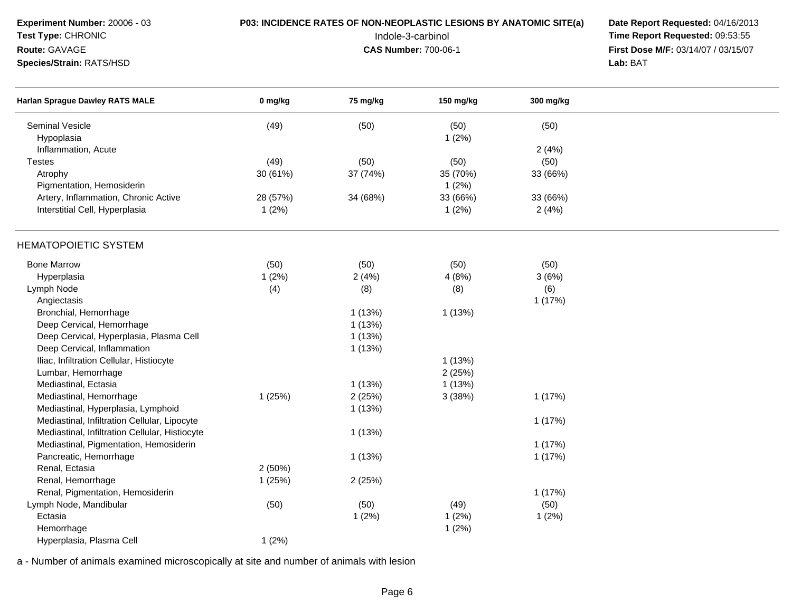**Species/Strain:** RATS/HSD

**Route:** GAVAGE

# **P03: INCIDENCE RATES OF NON-NEOPLASTIC LESIONS BY ANATOMIC SITE(a) Date Report Requested: 04/16/2013<br>153:55 Time Report Requested: 09:53:55**

 Indole-3-carbinol **Time Report Requested:** 09:53:55 **First Dose M/F:** 03/14/07 / 03/15/07<br>Lab: BAT **Lab:** BAT

| <b>Harlan Sprague Dawley RATS MALE</b>         | 0 mg/kg  | 75 mg/kg | 150 mg/kg | 300 mg/kg |  |
|------------------------------------------------|----------|----------|-----------|-----------|--|
| <b>Seminal Vesicle</b>                         | (49)     | (50)     | (50)      | (50)      |  |
| Hypoplasia                                     |          |          | 1(2%)     |           |  |
| Inflammation, Acute                            |          |          |           | 2(4%)     |  |
| <b>Testes</b>                                  | (49)     | (50)     | (50)      | (50)      |  |
| Atrophy                                        | 30 (61%) | 37 (74%) | 35 (70%)  | 33 (66%)  |  |
| Pigmentation, Hemosiderin                      |          |          | 1(2%)     |           |  |
| Artery, Inflammation, Chronic Active           | 28 (57%) | 34 (68%) | 33 (66%)  | 33 (66%)  |  |
| Interstitial Cell, Hyperplasia                 | 1(2%)    |          | 1(2%)     | 2(4%)     |  |
| <b>HEMATOPOIETIC SYSTEM</b>                    |          |          |           |           |  |
| <b>Bone Marrow</b>                             | (50)     | (50)     | (50)      | (50)      |  |
| Hyperplasia                                    | 1(2%)    | 2(4%)    | 4(8%)     | 3(6%)     |  |
| Lymph Node                                     | (4)      | (8)      | (8)       | (6)       |  |
| Angiectasis                                    |          |          |           | 1(17%)    |  |
| Bronchial, Hemorrhage                          |          | 1(13%)   | 1(13%)    |           |  |
| Deep Cervical, Hemorrhage                      |          | 1(13%)   |           |           |  |
| Deep Cervical, Hyperplasia, Plasma Cell        |          | 1(13%)   |           |           |  |
| Deep Cervical, Inflammation                    |          | 1(13%)   |           |           |  |
| Iliac, Infiltration Cellular, Histiocyte       |          |          | 1(13%)    |           |  |
| Lumbar, Hemorrhage                             |          |          | 2(25%)    |           |  |
| Mediastinal, Ectasia                           |          | 1(13%)   | 1(13%)    |           |  |
| Mediastinal, Hemorrhage                        | 1(25%)   | 2(25%)   | 3(38%)    | 1(17%)    |  |
| Mediastinal, Hyperplasia, Lymphoid             |          | 1(13%)   |           |           |  |
| Mediastinal, Infiltration Cellular, Lipocyte   |          |          |           | 1(17%)    |  |
| Mediastinal, Infiltration Cellular, Histiocyte |          | 1(13%)   |           |           |  |
| Mediastinal, Pigmentation, Hemosiderin         |          |          |           | 1(17%)    |  |
| Pancreatic, Hemorrhage                         |          | 1(13%)   |           | 1(17%)    |  |
| Renal, Ectasia                                 | 2(50%)   |          |           |           |  |
| Renal, Hemorrhage                              | 1(25%)   | 2(25%)   |           |           |  |
| Renal, Pigmentation, Hemosiderin               |          |          |           | 1(17%)    |  |
| Lymph Node, Mandibular                         | (50)     | (50)     | (49)      | (50)      |  |
| Ectasia                                        |          | 1(2%)    | 1(2%)     | 1(2%)     |  |
| Hemorrhage                                     |          |          | 1(2%)     |           |  |
| Hyperplasia, Plasma Cell                       | 1(2%)    |          |           |           |  |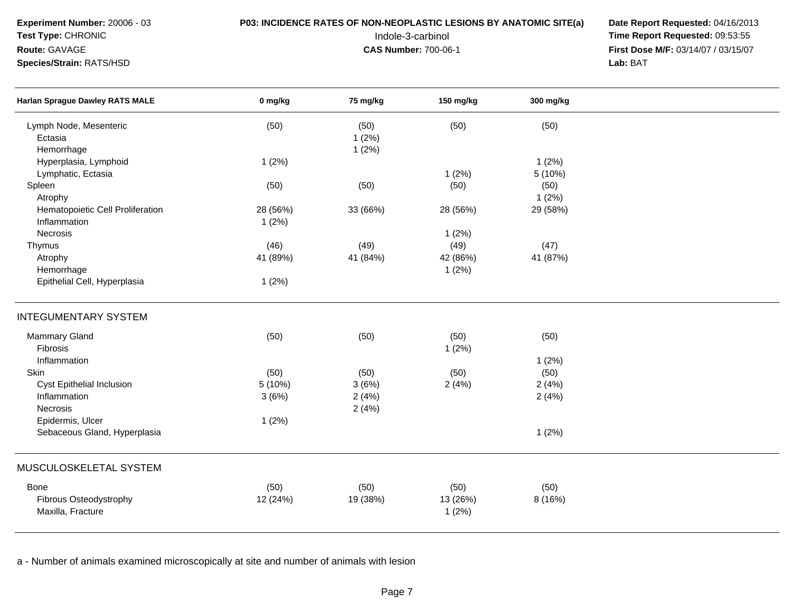**Species/Strain:** RATS/HSD

**Route:** GAVAGE

# **P03: INCIDENCE RATES OF NON-NEOPLASTIC LESIONS BY ANATOMIC SITE(a) Date Report Requested: 04/16/2013<br>153:55 Time Report Requested: 09:53:55**

 Indole-3-carbinol **Time Report Requested:** 09:53:55 **First Dose M/F:** 03/14/07 / 03/15/07<br>Lab: BAT **Lab:** BAT

| <b>Harlan Sprague Dawley RATS MALE</b>          | 0 mg/kg  | 75 mg/kg               | 150 mg/kg | 300 mg/kg |  |
|-------------------------------------------------|----------|------------------------|-----------|-----------|--|
| Lymph Node, Mesenteric<br>Ectasia<br>Hemorrhage | (50)     | (50)<br>1(2%)<br>1(2%) | (50)      | (50)      |  |
| Hyperplasia, Lymphoid                           | 1(2%)    |                        |           | 1(2%)     |  |
| Lymphatic, Ectasia                              |          |                        | 1(2%)     | 5 (10%)   |  |
| Spleen                                          | (50)     | (50)                   | (50)      | (50)      |  |
| Atrophy                                         |          |                        |           | 1(2%)     |  |
| Hematopoietic Cell Proliferation                | 28 (56%) | 33 (66%)               | 28 (56%)  | 29 (58%)  |  |
| Inflammation                                    | 1(2%)    |                        |           |           |  |
| Necrosis                                        |          |                        | 1(2%)     |           |  |
| Thymus                                          | (46)     | (49)                   | (49)      | (47)      |  |
| Atrophy                                         | 41 (89%) | 41 (84%)               | 42 (86%)  | 41 (87%)  |  |
| Hemorrhage                                      |          |                        | 1(2%)     |           |  |
| Epithelial Cell, Hyperplasia                    | 1(2%)    |                        |           |           |  |
| <b>INTEGUMENTARY SYSTEM</b>                     |          |                        |           |           |  |
| <b>Mammary Gland</b>                            | (50)     | (50)                   | (50)      | (50)      |  |
| Fibrosis                                        |          |                        | 1(2%)     |           |  |
| Inflammation                                    |          |                        |           | 1(2%)     |  |
| Skin                                            | (50)     | (50)                   | (50)      | (50)      |  |
| Cyst Epithelial Inclusion                       | 5 (10%)  | 3(6%)                  | 2(4%)     | 2(4%)     |  |
| Inflammation                                    | 3(6%)    | 2(4%)                  |           | 2(4%)     |  |
| Necrosis                                        |          | 2(4%)                  |           |           |  |
| Epidermis, Ulcer                                | 1(2%)    |                        |           |           |  |
| Sebaceous Gland, Hyperplasia                    |          |                        |           | 1(2%)     |  |
| MUSCULOSKELETAL SYSTEM                          |          |                        |           |           |  |
|                                                 |          |                        |           |           |  |
| <b>Bone</b>                                     | (50)     | (50)                   | (50)      | (50)      |  |
| Fibrous Osteodystrophy                          | 12 (24%) | 19 (38%)               | 13 (26%)  | 8 (16%)   |  |
| Maxilla, Fracture                               |          |                        | 1(2%)     |           |  |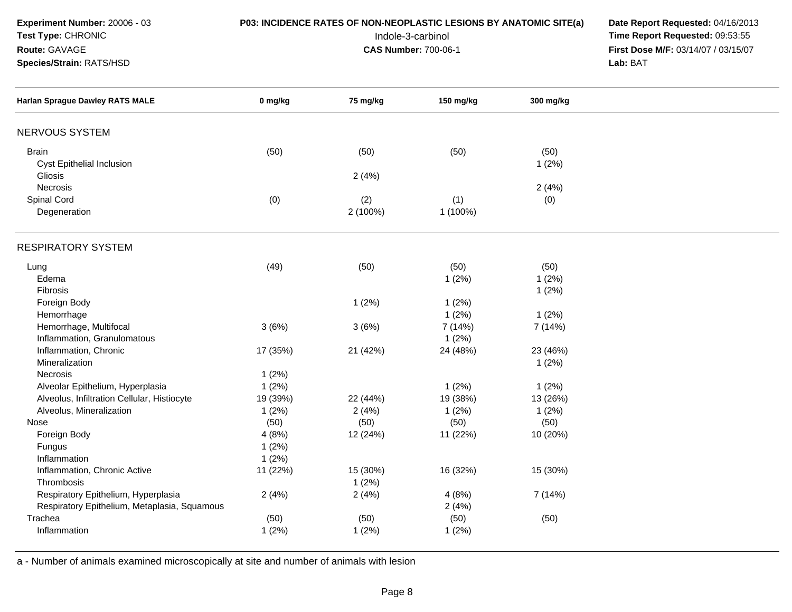**Species/Strain:** RATS/HSD

**Route:** GAVAGE

# **P03: INCIDENCE RATES OF NON-NEOPLASTIC LESIONS BY ANATOMIC SITE(a) Date Report Requested: 04/16/2013<br>153:55 Time Report Requested: 09:53:55**

 Indole-3-carbinol **Time Report Requested:** 09:53:55 **First Dose M/F:** 03/14/07 / 03/15/07<br>Lab: BAT **Lab:** BAT

| <b>Harlan Sprague Dawley RATS MALE</b>       | 0 mg/kg  | 75 mg/kg | 150 mg/kg | 300 mg/kg     |  |
|----------------------------------------------|----------|----------|-----------|---------------|--|
| NERVOUS SYSTEM                               |          |          |           |               |  |
|                                              |          |          |           |               |  |
| <b>Brain</b><br>Cyst Epithelial Inclusion    | (50)     | (50)     | (50)      | (50)<br>1(2%) |  |
| Gliosis                                      |          | 2(4%)    |           |               |  |
| <b>Necrosis</b>                              |          |          |           | 2(4%)         |  |
| Spinal Cord                                  | (0)      | (2)      | (1)       | (0)           |  |
| Degeneration                                 |          | 2 (100%) | 1 (100%)  |               |  |
| <b>RESPIRATORY SYSTEM</b>                    |          |          |           |               |  |
| Lung                                         | (49)     | (50)     | (50)      | (50)          |  |
| Edema                                        |          |          | 1(2%)     | 1(2%)         |  |
| Fibrosis                                     |          |          |           | 1(2%)         |  |
| Foreign Body                                 |          | 1(2%)    | 1(2%)     |               |  |
| Hemorrhage                                   |          |          | 1(2%)     | 1(2%)         |  |
| Hemorrhage, Multifocal                       | 3(6%)    | 3(6%)    | 7 (14%)   | 7 (14%)       |  |
| Inflammation, Granulomatous                  |          |          | 1(2%)     |               |  |
| Inflammation, Chronic                        | 17 (35%) | 21 (42%) | 24 (48%)  | 23 (46%)      |  |
| Mineralization                               |          |          |           | 1(2%)         |  |
| <b>Necrosis</b>                              | 1(2%)    |          |           |               |  |
| Alveolar Epithelium, Hyperplasia             | 1(2%)    |          | 1(2%)     | 1(2%)         |  |
| Alveolus, Infiltration Cellular, Histiocyte  | 19 (39%) | 22 (44%) | 19 (38%)  | 13 (26%)      |  |
| Alveolus, Mineralization                     | 1(2%)    | 2(4%)    | 1(2%)     | 1(2%)         |  |
| Nose                                         | (50)     | (50)     | (50)      | (50)          |  |
| Foreign Body                                 | 4(8%)    | 12 (24%) | 11 (22%)  | 10 (20%)      |  |
| Fungus                                       | 1(2%)    |          |           |               |  |
| Inflammation                                 | 1(2%)    |          |           |               |  |
| Inflammation, Chronic Active                 | 11 (22%) | 15 (30%) | 16 (32%)  | 15 (30%)      |  |
| Thrombosis                                   |          | 1(2%)    |           |               |  |
| Respiratory Epithelium, Hyperplasia          | 2(4%)    | 2(4%)    | 4(8%)     | 7(14%)        |  |
| Respiratory Epithelium, Metaplasia, Squamous |          |          | 2(4%)     |               |  |
| Trachea                                      | (50)     | (50)     | (50)      | (50)          |  |
| Inflammation                                 | 1(2%)    | 1(2%)    | 1(2%)     |               |  |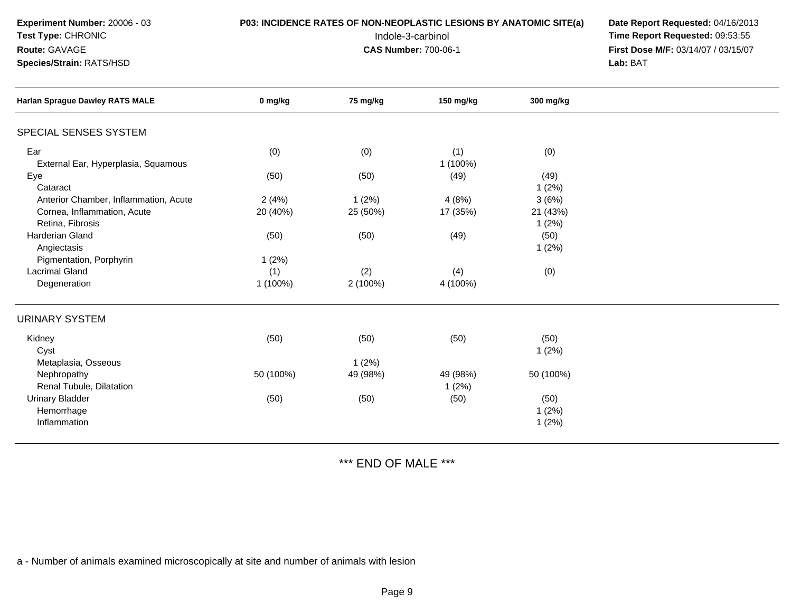### **Test Type:** CHRONIC

**Species/Strain:** RATS/HSD

**Route:** GAVAGE

**P03: INCIDENCE RATES OF NON-NEOPLASTIC LESIONS BY ANATOMIC SITE(a) Date Report Requested: 04/16/2013<br>153:55 Time Report Requested: 09:53:55**  Indole-3-carbinol **Time Report Requested:** 09:53:55 **First Dose M/F:** 03/14/07 / 03/15/07<br>Lab: BAT **Lab:** BAT

| <b>Harlan Sprague Dawley RATS MALE</b>                                                   | 0 mg/kg           | 75 mg/kg          | 150 mg/kg         | 300 mg/kg                  |  |
|------------------------------------------------------------------------------------------|-------------------|-------------------|-------------------|----------------------------|--|
| SPECIAL SENSES SYSTEM                                                                    |                   |                   |                   |                            |  |
| Ear<br>External Ear, Hyperplasia, Squamous                                               | (0)               | (0)               | (1)<br>1 (100%)   | (0)                        |  |
| Eye<br>Cataract                                                                          | (50)              | (50)              | (49)              | (49)<br>1(2%)              |  |
| Anterior Chamber, Inflammation, Acute<br>Cornea, Inflammation, Acute<br>Retina, Fibrosis | 2(4%)<br>20 (40%) | 1(2%)<br>25 (50%) | 4(8%)<br>17 (35%) | 3(6%)<br>21 (43%)<br>1(2%) |  |
| <b>Harderian Gland</b><br>Angiectasis<br>Pigmentation, Porphyrin                         | (50)<br>1(2%)     | (50)              | (49)              | (50)<br>1(2%)              |  |
| <b>Lacrimal Gland</b><br>Degeneration                                                    | (1)<br>1 (100%)   | (2)<br>2 (100%)   | (4)<br>4 (100%)   | (0)                        |  |
| <b>URINARY SYSTEM</b>                                                                    |                   |                   |                   |                            |  |
| Kidney<br>Cyst<br>Metaplasia, Osseous                                                    | (50)              | (50)<br>1(2%)     | (50)              | (50)<br>1(2%)              |  |
| Nephropathy<br>Renal Tubule, Dilatation                                                  | 50 (100%)         | 49 (98%)          | 49 (98%)<br>1(2%) | 50 (100%)                  |  |
| <b>Urinary Bladder</b><br>Hemorrhage<br>Inflammation                                     | (50)              | (50)              | (50)              | (50)<br>1(2%)<br>1(2%)     |  |

\*\*\* END OF MALE \*\*\*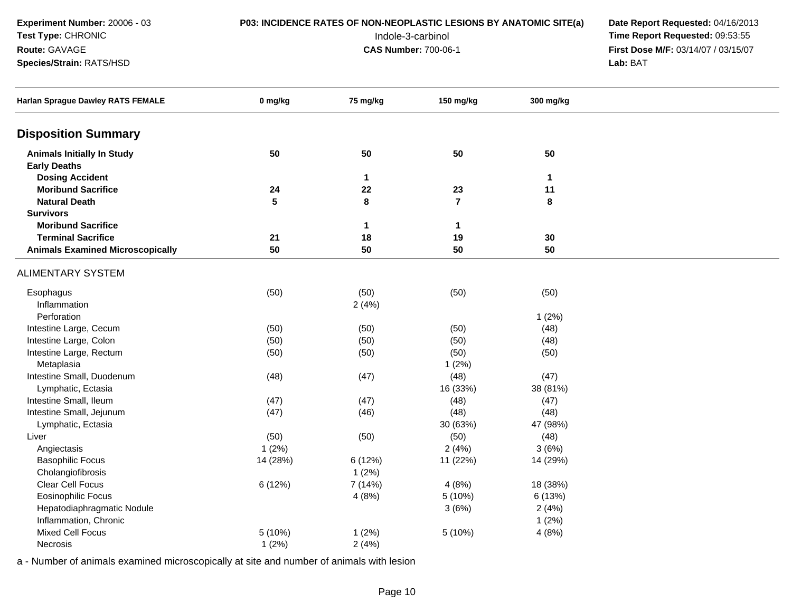### **Route:** GAVAGE

**Species/Strain:** RATS/HSD

# **P03: INCIDENCE RATES OF NON-NEOPLASTIC LESIONS BY ANATOMIC SITE(a) Date Report Requested: 04/16/2013<br>153:55 Time Report Requested: 09:53:55**

 Indole-3-carbinol **Time Report Requested:** 09:53:55 **First Dose M/F:** 03/14/07 / 03/15/07<br>**Lab:** BAT **Lab:** BAT

| <b>Harlan Sprague Dawley RATS FEMALE</b> | 0 mg/kg   | 75 mg/kg     | 150 mg/kg      | 300 mg/kg    |  |
|------------------------------------------|-----------|--------------|----------------|--------------|--|
| <b>Disposition Summary</b>               |           |              |                |              |  |
| <b>Animals Initially In Study</b>        | 50        | 50           | 50             | 50           |  |
| <b>Early Deaths</b>                      |           |              |                |              |  |
| <b>Dosing Accident</b>                   |           | $\mathbf{1}$ |                | $\mathbf{1}$ |  |
| <b>Moribund Sacrifice</b>                | 24        | 22           | 23             | 11           |  |
| <b>Natural Death</b>                     | ${\bf 5}$ | $\bf8$       | $\overline{7}$ | 8            |  |
| <b>Survivors</b>                         |           |              |                |              |  |
| <b>Moribund Sacrifice</b>                |           | $\mathbf{1}$ | $\mathbf 1$    |              |  |
| <b>Terminal Sacrifice</b>                | 21        | 18           | 19             | 30           |  |
| <b>Animals Examined Microscopically</b>  | 50        | 50           | 50             | 50           |  |
| <b>ALIMENTARY SYSTEM</b>                 |           |              |                |              |  |
| Esophagus                                | (50)      | (50)         | (50)           | (50)         |  |
| Inflammation                             |           | 2(4%)        |                |              |  |
| Perforation                              |           |              |                | 1(2%)        |  |
| Intestine Large, Cecum                   | (50)      | (50)         | (50)           | (48)         |  |
| Intestine Large, Colon                   | (50)      | (50)         | (50)           | (48)         |  |
| Intestine Large, Rectum                  | (50)      | (50)         | (50)           | (50)         |  |
| Metaplasia                               |           |              | 1(2%)          |              |  |
| Intestine Small, Duodenum                | (48)      | (47)         | (48)           | (47)         |  |
| Lymphatic, Ectasia                       |           |              | 16 (33%)       | 38 (81%)     |  |
| Intestine Small, Ileum                   | (47)      | (47)         | (48)           | (47)         |  |
| Intestine Small, Jejunum                 | (47)      | (46)         | (48)           | (48)         |  |
| Lymphatic, Ectasia                       |           |              | 30 (63%)       | 47 (98%)     |  |
| Liver                                    | (50)      | (50)         | (50)           | (48)         |  |
| Angiectasis                              | 1(2%)     |              | 2(4%)          | 3(6%)        |  |
| <b>Basophilic Focus</b>                  | 14 (28%)  | 6 (12%)      | 11 (22%)       | 14 (29%)     |  |
| Cholangiofibrosis                        |           | 1(2%)        |                |              |  |
| Clear Cell Focus                         | 6 (12%)   | 7 (14%)      | 4(8%)          | 18 (38%)     |  |
| <b>Eosinophilic Focus</b>                |           | 4(8%)        | 5(10%)         | 6(13%)       |  |
| Hepatodiaphragmatic Nodule               |           |              | 3(6%)          | 2(4%)        |  |
| Inflammation, Chronic                    |           |              |                | 1(2%)        |  |
| <b>Mixed Cell Focus</b>                  | 5(10%)    | 1(2%)        | 5 (10%)        | 4(8%)        |  |
| Necrosis                                 | 1(2%)     | 2(4%)        |                |              |  |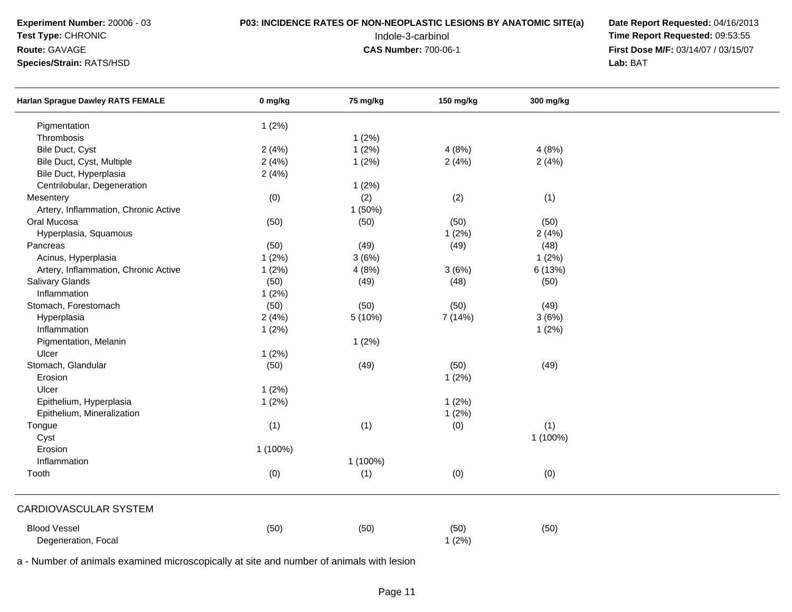**Test Type:** CHRONIC

### **Route:** GAVAGE

**Species/Strain:** RATS/HSD

**P03: INCIDENCE RATES OF NON-NEOPLASTIC LESIONS BY ANATOMIC SITE(a) Date Report Requested: 04/16/2013<br>153:55 Time Report Requested: 09:53:55**  Indole-3-carbinol **Time Report Requested:** 09:53:55 **First Dose M/F:** 03/14/07 / 03/15/07<br>**Lab:** BAT **Lab:** BAT

| <b>Harlan Sprague Dawley RATS FEMALE</b> | 0 mg/kg  | 75 mg/kg | 150 mg/kg | 300 mg/kg |  |
|------------------------------------------|----------|----------|-----------|-----------|--|
| Pigmentation                             | 1(2%)    |          |           |           |  |
| Thrombosis                               |          | 1(2%)    |           |           |  |
| Bile Duct, Cyst                          | 2(4%)    | 1(2%)    | 4(8%)     | 4(8%)     |  |
| Bile Duct, Cyst, Multiple                | 2(4%)    | 1(2%)    | 2(4%)     | 2(4%)     |  |
| Bile Duct, Hyperplasia                   | 2(4%)    |          |           |           |  |
| Centrilobular, Degeneration              |          | 1(2%)    |           |           |  |
| Mesentery                                | (0)      | (2)      | (2)       | (1)       |  |
| Artery, Inflammation, Chronic Active     |          | 1 (50%)  |           |           |  |
| Oral Mucosa                              | (50)     | (50)     | (50)      | (50)      |  |
| Hyperplasia, Squamous                    |          |          | 1(2%)     | 2(4%)     |  |
| Pancreas                                 | (50)     | (49)     | (49)      | (48)      |  |
| Acinus, Hyperplasia                      | 1(2%)    | 3(6%)    |           | 1(2%)     |  |
| Artery, Inflammation, Chronic Active     | 1(2%)    | 4(8%)    | 3(6%)     | 6 (13%)   |  |
| Salivary Glands                          | (50)     | (49)     | (48)      | (50)      |  |
| Inflammation                             | 1(2%)    |          |           |           |  |
| Stomach, Forestomach                     | (50)     | (50)     | (50)      | (49)      |  |
| Hyperplasia                              | 2(4%)    | 5 (10%)  | 7 (14%)   | 3(6%)     |  |
| Inflammation                             | 1(2%)    |          |           | 1(2%)     |  |
| Pigmentation, Melanin                    |          | 1(2%)    |           |           |  |
| Ulcer                                    | 1(2%)    |          |           |           |  |
| Stomach, Glandular                       | (50)     | (49)     | (50)      | (49)      |  |
| Erosion                                  |          |          | 1(2%)     |           |  |
| Ulcer                                    | 1(2%)    |          |           |           |  |
| Epithelium, Hyperplasia                  | 1(2%)    |          | 1(2%)     |           |  |
| Epithelium, Mineralization               |          |          | 1(2%)     |           |  |
| Tongue                                   | (1)      | (1)      | (0)       | (1)       |  |
| Cyst                                     |          |          |           | 1 (100%)  |  |
| Erosion                                  | 1 (100%) |          |           |           |  |
| Inflammation                             |          | 1 (100%) |           |           |  |
| Tooth                                    | (0)      | (1)      | (0)       | (0)       |  |
| CARDIOVASCULAR SYSTEM                    |          |          |           |           |  |
| <b>Blood Vessel</b>                      | (50)     | (50)     | (50)      | (50)      |  |
| Degeneration, Focal                      |          |          | 1(2%)     |           |  |
|                                          |          |          |           |           |  |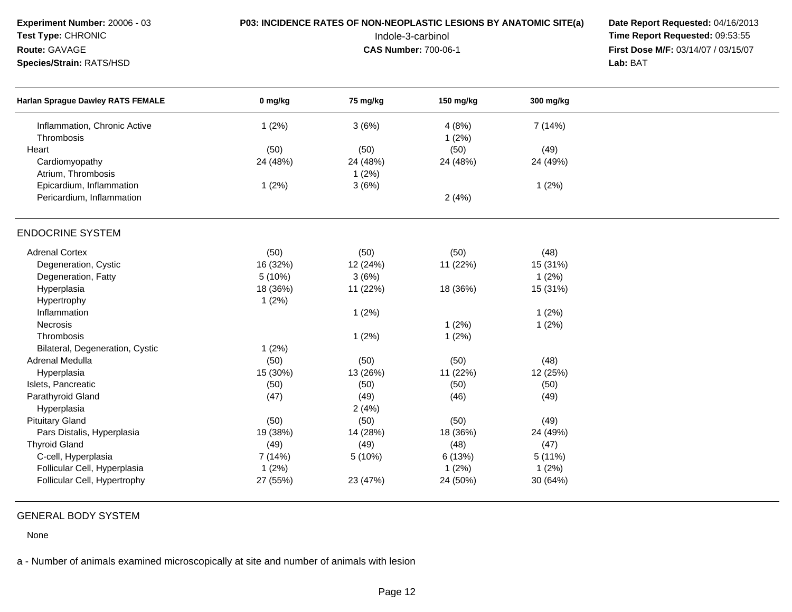|                                            |          |          | P03: INCIDENCE RATES OF NON-NEOPLASTIC LESIONS BY ANATOMIC SITE(a)<br>Indole-3-carbinol<br><b>CAS Number: 700-06-1</b> |           |  |  |  |
|--------------------------------------------|----------|----------|------------------------------------------------------------------------------------------------------------------------|-----------|--|--|--|
| <b>Harlan Sprague Dawley RATS FEMALE</b>   | 0 mg/kg  | 75 mg/kg | 150 mg/kg                                                                                                              | 300 mg/kg |  |  |  |
| Inflammation, Chronic Active<br>Thrombosis | 1(2%)    | 3(6%)    | 4(8%)<br>1(2%)                                                                                                         | 7 (14%)   |  |  |  |
| Heart                                      | (50)     | (50)     | (50)                                                                                                                   | (49)      |  |  |  |
| Cardiomyopathy                             | 24 (48%) | 24 (48%) | 24 (48%)                                                                                                               | 24 (49%)  |  |  |  |
| Atrium, Thrombosis                         |          | 1(2%)    |                                                                                                                        |           |  |  |  |
| Epicardium, Inflammation                   | 1(2%)    | 3(6%)    |                                                                                                                        | 1(2%)     |  |  |  |
| Pericardium, Inflammation                  |          |          | 2(4%)                                                                                                                  |           |  |  |  |
| <b>ENDOCRINE SYSTEM</b>                    |          |          |                                                                                                                        |           |  |  |  |
| <b>Adrenal Cortex</b>                      | (50)     | (50)     | (50)                                                                                                                   | (48)      |  |  |  |
| Degeneration, Cystic                       | 16 (32%) | 12 (24%) | 11 (22%)                                                                                                               | 15 (31%)  |  |  |  |
| Degeneration, Fatty                        | 5 (10%)  | 3(6%)    |                                                                                                                        | 1(2%)     |  |  |  |
| Hyperplasia                                | 18 (36%) | 11 (22%) | 18 (36%)                                                                                                               | 15 (31%)  |  |  |  |
| Hypertrophy                                | 1(2%)    |          |                                                                                                                        |           |  |  |  |
| Inflammation                               |          | 1(2%)    |                                                                                                                        | 1(2%)     |  |  |  |
| Necrosis                                   |          |          | 1(2%)                                                                                                                  | 1(2%)     |  |  |  |
| Thrombosis                                 |          | 1(2%)    | 1(2%)                                                                                                                  |           |  |  |  |
| Bilateral, Degeneration, Cystic            | 1(2%)    |          |                                                                                                                        |           |  |  |  |
| Adrenal Medulla                            | (50)     | (50)     | (50)                                                                                                                   | (48)      |  |  |  |
| Hyperplasia                                | 15 (30%) | 13 (26%) | 11 (22%)                                                                                                               | 12 (25%)  |  |  |  |
| Islets, Pancreatic                         | (50)     | (50)     | (50)                                                                                                                   | (50)      |  |  |  |
| Parathyroid Gland                          | (47)     | (49)     | (46)                                                                                                                   | (49)      |  |  |  |
| Hyperplasia                                |          | 2(4%)    |                                                                                                                        |           |  |  |  |
| <b>Pituitary Gland</b>                     | (50)     | (50)     | (50)                                                                                                                   | (49)      |  |  |  |
| Pars Distalis, Hyperplasia                 | 19 (38%) | 14 (28%) | 18 (36%)                                                                                                               | 24 (49%)  |  |  |  |
| <b>Thyroid Gland</b>                       | (49)     | (49)     | (48)                                                                                                                   | (47)      |  |  |  |
| C-cell, Hyperplasia                        | 7 (14%)  | 5(10%)   | 6 (13%)                                                                                                                | 5 (11%)   |  |  |  |
| Follicular Cell, Hyperplasia               | 1(2%)    |          | 1(2%)                                                                                                                  | 1(2%)     |  |  |  |
| Follicular Cell, Hypertrophy               | 27 (55%) | 23 (47%) | 24 (50%)                                                                                                               | 30 (64%)  |  |  |  |

### GENERAL BODY SYSTEM

None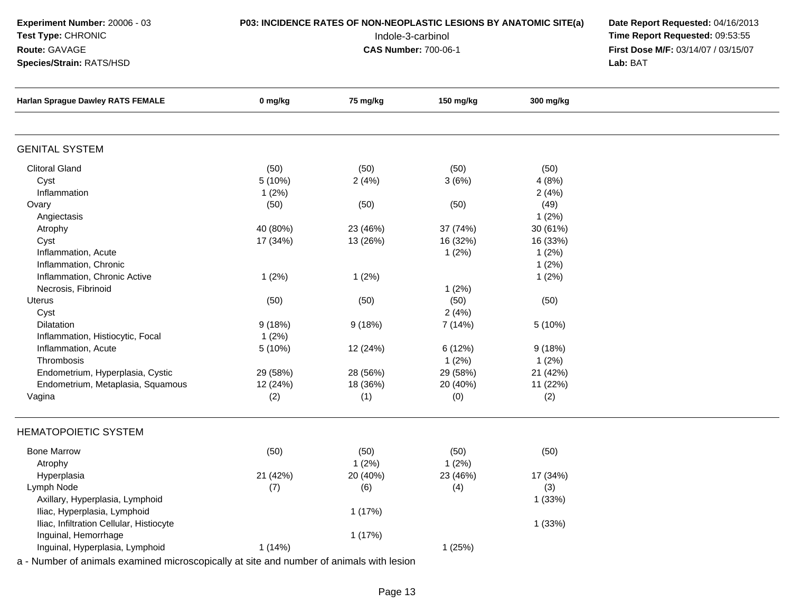## **Test Type:** CHRONIC

**Route:** GAVAGE

**Species/Strain:** RATS/HSD

# **P03: INCIDENCE RATES OF NON-NEOPLASTIC LESIONS BY ANATOMIC SITE(a) Date Report Requested: 04/16/2013<br>153:55 Time Report Requested: 09:53:55**

 Indole-3-carbinol **Time Report Requested:** 09:53:55 **First Dose M/F:** 03/14/07 / 03/15/07<br>**Lab:** BAT **Lab:** BAT

| <b>Harlan Sprague Dawley RATS FEMALE</b> | 0 mg/kg                                                                                                         | 75 mg/kg | 150 mg/kg | 300 mg/kg |  |
|------------------------------------------|-----------------------------------------------------------------------------------------------------------------|----------|-----------|-----------|--|
|                                          |                                                                                                                 |          |           |           |  |
| <b>GENITAL SYSTEM</b>                    |                                                                                                                 |          |           |           |  |
| <b>Clitoral Gland</b>                    | (50)                                                                                                            | (50)     | (50)      | (50)      |  |
| Cyst                                     | 5 (10%)                                                                                                         | 2(4%)    | 3(6%)     | 4(8%)     |  |
| Inflammation                             | 1(2%)                                                                                                           |          |           | 2(4%)     |  |
| Ovary                                    | (50)                                                                                                            | (50)     | (50)      | (49)      |  |
| Angiectasis                              |                                                                                                                 |          |           | 1(2%)     |  |
| Atrophy                                  | 40 (80%)                                                                                                        | 23 (46%) | 37 (74%)  | 30 (61%)  |  |
| Cyst                                     | 17 (34%)                                                                                                        | 13 (26%) | 16 (32%)  | 16 (33%)  |  |
| Inflammation, Acute                      |                                                                                                                 |          | 1(2%)     | 1(2%)     |  |
| Inflammation, Chronic                    |                                                                                                                 |          |           | 1(2%)     |  |
| Inflammation, Chronic Active             | 1(2%)                                                                                                           | 1(2%)    |           | 1(2%)     |  |
| Necrosis, Fibrinoid                      |                                                                                                                 |          | 1(2%)     |           |  |
| Uterus                                   | (50)                                                                                                            | (50)     | (50)      | (50)      |  |
| Cyst                                     |                                                                                                                 |          | 2(4%)     |           |  |
| Dilatation                               | 9(18%)                                                                                                          | 9(18%)   | 7(14%)    | 5 (10%)   |  |
| Inflammation, Histiocytic, Focal         | 1(2%)                                                                                                           |          |           |           |  |
| Inflammation, Acute                      | 5 (10%)                                                                                                         | 12 (24%) | 6 (12%)   | 9(18%)    |  |
| Thrombosis                               |                                                                                                                 |          | 1(2%)     | 1(2%)     |  |
| Endometrium, Hyperplasia, Cystic         | 29 (58%)                                                                                                        | 28 (56%) | 29 (58%)  | 21 (42%)  |  |
| Endometrium, Metaplasia, Squamous        | 12 (24%)                                                                                                        | 18 (36%) | 20 (40%)  | 11 (22%)  |  |
| Vagina                                   | (2)                                                                                                             | (1)      | (0)       | (2)       |  |
| <b>HEMATOPOIETIC SYSTEM</b>              |                                                                                                                 |          |           |           |  |
| <b>Bone Marrow</b>                       | (50)                                                                                                            | (50)     | (50)      | (50)      |  |
| Atrophy                                  |                                                                                                                 | 1(2%)    | 1(2%)     |           |  |
| Hyperplasia                              | 21 (42%)                                                                                                        | 20 (40%) | 23 (46%)  | 17 (34%)  |  |
| Lymph Node                               | (7)                                                                                                             | (6)      | (4)       | (3)       |  |
| Axillary, Hyperplasia, Lymphoid          |                                                                                                                 |          |           | 1 (33%)   |  |
| Iliac, Hyperplasia, Lymphoid             |                                                                                                                 | 1(17%)   |           |           |  |
| Iliac, Infiltration Cellular, Histiocyte |                                                                                                                 |          |           | 1(33%)    |  |
| Inguinal, Hemorrhage                     |                                                                                                                 | 1(17%)   |           |           |  |
| Inguinal, Hyperplasia, Lymphoid          | 1(14%)                                                                                                          |          | 1(25%)    |           |  |
| .                                        | and the state of the state of the state of the state of the state of the state of the state of the state of the |          |           |           |  |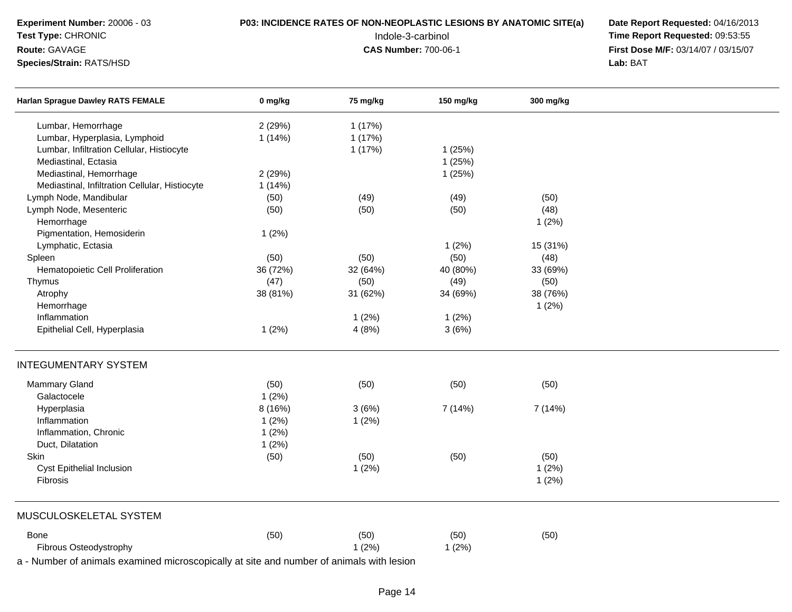### **Test Type:** CHRONIC

**Species/Strain:** RATS/HSD

**Route:** GAVAGE

# **P03: INCIDENCE RATES OF NON-NEOPLASTIC LESIONS BY ANATOMIC SITE(a) Date Report Requested: 04/16/2013<br>153:55 Time Report Requested: 09:53:55**

 Indole-3-carbinol **Time Report Requested:** 09:53:55 **First Dose M/F:** 03/14/07 / 03/15/07<br>Lab: BAT **Lab:** BAT

| <b>Harlan Sprague Dawley RATS FEMALE</b>       | 0 mg/kg  | 75 mg/kg | 150 mg/kg | 300 mg/kg |  |
|------------------------------------------------|----------|----------|-----------|-----------|--|
| Lumbar, Hemorrhage                             | 2(29%)   | 1(17%)   |           |           |  |
| Lumbar, Hyperplasia, Lymphoid                  | 1(14%)   | 1(17%)   |           |           |  |
| Lumbar, Infiltration Cellular, Histiocyte      |          | 1(17%)   | 1(25%)    |           |  |
| Mediastinal, Ectasia                           |          |          | 1(25%)    |           |  |
| Mediastinal, Hemorrhage                        | 2 (29%)  |          | 1(25%)    |           |  |
| Mediastinal, Infiltration Cellular, Histiocyte | 1(14%)   |          |           |           |  |
| Lymph Node, Mandibular                         | (50)     | (49)     | (49)      | (50)      |  |
| Lymph Node, Mesenteric                         | (50)     | (50)     | (50)      | (48)      |  |
| Hemorrhage                                     |          |          |           | 1(2%)     |  |
| Pigmentation, Hemosiderin                      | 1(2%)    |          |           |           |  |
| Lymphatic, Ectasia                             |          |          | 1(2%)     | 15 (31%)  |  |
| Spleen                                         | (50)     | (50)     | (50)      | (48)      |  |
| Hematopoietic Cell Proliferation               | 36 (72%) | 32 (64%) | 40 (80%)  | 33 (69%)  |  |
| Thymus                                         | (47)     | (50)     | (49)      | (50)      |  |
| Atrophy                                        | 38 (81%) | 31 (62%) | 34 (69%)  | 38 (76%)  |  |
| Hemorrhage                                     |          |          |           | 1(2%)     |  |
| Inflammation                                   |          | 1(2%)    | 1(2%)     |           |  |
| Epithelial Cell, Hyperplasia                   | 1(2%)    | 4(8%)    | 3(6%)     |           |  |
| <b>INTEGUMENTARY SYSTEM</b>                    |          |          |           |           |  |
| <b>Mammary Gland</b>                           | (50)     | (50)     | (50)      | (50)      |  |
| Galactocele                                    | 1(2%)    |          |           |           |  |
| Hyperplasia                                    | 8 (16%)  | 3(6%)    | 7 (14%)   | 7(14%)    |  |
| Inflammation                                   | 1(2%)    | 1(2%)    |           |           |  |
| Inflammation, Chronic                          | 1(2%)    |          |           |           |  |
| Duct, Dilatation                               | 1(2%)    |          |           |           |  |
| Skin                                           | (50)     | (50)     | (50)      | (50)      |  |
| Cyst Epithelial Inclusion                      |          | 1(2%)    |           | 1(2%)     |  |
| Fibrosis                                       |          |          |           | 1(2%)     |  |
| MUSCULOSKELETAL SYSTEM                         |          |          |           |           |  |
| <b>Bone</b>                                    | (50)     | (50)     | (50)      | (50)      |  |
| Fibrous Osteodystrophy                         |          | 1(2%)    | 1(2%)     |           |  |
| $\sim$ $\sim$ $\sim$ $\sim$                    |          | $\cdots$ |           |           |  |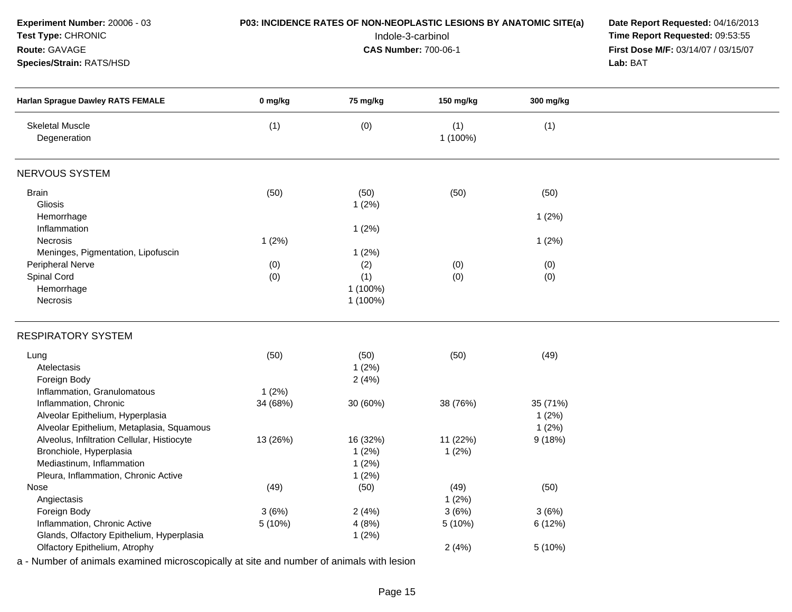| Experiment Number: 20006 - 03<br>Test Type: CHRONIC<br>Route: GAVAGE<br>Species/Strain: RATS/HSD<br>Harlan Sprague Dawley RATS FEMALE |          | P03: INCIDENCE RATES OF NON-NEOPLASTIC LESIONS BY ANATOMIC SITE(a)<br>Indole-3-carbinol<br><b>CAS Number: 700-06-1</b> | Date Report Requested: 04/16/2013<br>Time Report Requested: 09:53:55<br>First Dose M/F: 03/14/07 / 03/15/07<br>Lab: BAT |           |  |
|---------------------------------------------------------------------------------------------------------------------------------------|----------|------------------------------------------------------------------------------------------------------------------------|-------------------------------------------------------------------------------------------------------------------------|-----------|--|
|                                                                                                                                       | 0 mg/kg  | 75 mg/kg                                                                                                               | 150 mg/kg                                                                                                               | 300 mg/kg |  |
| <b>Skeletal Muscle</b><br>Degeneration                                                                                                | (1)      | (0)                                                                                                                    | (1)<br>1 (100%)                                                                                                         | (1)       |  |
| NERVOUS SYSTEM                                                                                                                        |          |                                                                                                                        |                                                                                                                         |           |  |
| <b>Brain</b>                                                                                                                          | (50)     | (50)                                                                                                                   | (50)                                                                                                                    | (50)      |  |
| Gliosis                                                                                                                               |          | 1(2%)                                                                                                                  |                                                                                                                         |           |  |
| Hemorrhage                                                                                                                            |          |                                                                                                                        |                                                                                                                         | 1(2%)     |  |
| Inflammation                                                                                                                          |          | 1(2%)                                                                                                                  |                                                                                                                         |           |  |
| Necrosis                                                                                                                              | 1(2%)    |                                                                                                                        |                                                                                                                         | 1(2%)     |  |
| Meninges, Pigmentation, Lipofuscin                                                                                                    |          | 1(2%)                                                                                                                  |                                                                                                                         |           |  |
| Peripheral Nerve                                                                                                                      | (0)      | (2)                                                                                                                    | (0)                                                                                                                     | (0)       |  |
| Spinal Cord                                                                                                                           | (0)      | (1)                                                                                                                    | (0)                                                                                                                     | (0)       |  |
| Hemorrhage                                                                                                                            |          | 1 (100%)                                                                                                               |                                                                                                                         |           |  |
| Necrosis                                                                                                                              |          | 1 (100%)                                                                                                               |                                                                                                                         |           |  |
| <b>RESPIRATORY SYSTEM</b>                                                                                                             |          |                                                                                                                        |                                                                                                                         |           |  |
| Lung                                                                                                                                  | (50)     | (50)                                                                                                                   | (50)                                                                                                                    | (49)      |  |
| Atelectasis                                                                                                                           |          | 1(2%)                                                                                                                  |                                                                                                                         |           |  |
| Foreign Body                                                                                                                          |          | 2(4%)                                                                                                                  |                                                                                                                         |           |  |
| Inflammation, Granulomatous                                                                                                           | 1(2%)    |                                                                                                                        |                                                                                                                         |           |  |
| Inflammation, Chronic                                                                                                                 | 34 (68%) | 30 (60%)                                                                                                               | 38 (76%)                                                                                                                | 35 (71%)  |  |
| Alveolar Epithelium, Hyperplasia                                                                                                      |          |                                                                                                                        |                                                                                                                         | 1(2%)     |  |
| Alveolar Epithelium, Metaplasia, Squamous                                                                                             |          |                                                                                                                        |                                                                                                                         | 1(2%)     |  |
| Alveolus, Infiltration Cellular, Histiocyte                                                                                           | 13 (26%) | 16 (32%)                                                                                                               | 11 (22%)                                                                                                                | 9(18%)    |  |
| Bronchiole, Hyperplasia                                                                                                               |          | 1(2%)                                                                                                                  | 1(2%)                                                                                                                   |           |  |
| Mediastinum, Inflammation                                                                                                             |          | 1(2%)                                                                                                                  |                                                                                                                         |           |  |
| Pleura, Inflammation, Chronic Active                                                                                                  |          | 1(2%)                                                                                                                  |                                                                                                                         |           |  |
| Nose                                                                                                                                  | (49)     | (50)                                                                                                                   | (49)                                                                                                                    | (50)      |  |
| Angiectasis                                                                                                                           |          |                                                                                                                        | 1(2%)                                                                                                                   |           |  |
| Foreign Body                                                                                                                          | 3(6%)    | 2(4%)                                                                                                                  | 3(6%)                                                                                                                   | 3(6%)     |  |
| Inflammation, Chronic Active                                                                                                          | 5(10%)   | 4(8%)                                                                                                                  | 5 (10%)                                                                                                                 | 6 (12%)   |  |
| Glands, Olfactory Epithelium, Hyperplasia                                                                                             |          | 1(2%)                                                                                                                  |                                                                                                                         |           |  |
| Olfactory Epithelium, Atrophy                                                                                                         |          |                                                                                                                        | 2(4%)                                                                                                                   | 5 (10%)   |  |